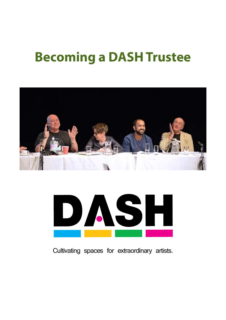# **Becoming a DASH Trustee**





Cultivating spaces for extraordinary artists.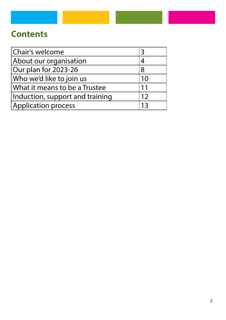### **Contents**

| Chair's welcome                 |    |
|---------------------------------|----|
| About our organisation          |    |
| Our plan for 2023-26            | 8  |
| Who we'd like to join us        | 10 |
| What it means to be a Trustee   | 11 |
| Induction, support and training | 12 |
| <b>Application process</b>      | 13 |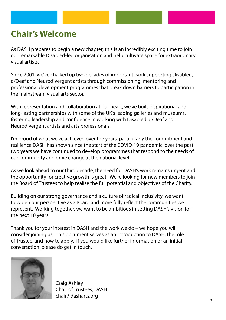### **Chair's Welcome**

As DASH prepares to begin a new chapter, this is an incredibly exciting time to join our remarkable Disabled-led organisation and help cultivate space for extraordinary visual artists.

Since 2001, we've chalked up two decades of important work supporting Disabled, d/Deaf and Neurodivergent artists through commissioning, mentoring and professional development programmes that break down barriers to participation in the mainstream visual arts sector.

With representation and collaboration at our heart, we've built inspirational and long-lasting partnerships with some of the UK's leading galleries and museums, fostering leadership and confidence in working with Disabled, d/Deaf and Neurodivergent artists and arts professionals.

I'm proud of what we've achieved over the years, particularly the commitment and resilience DASH has shown since the start of the COVID-19 pandemic; over the past two years we have continued to develop programmes that respond to the needs of our community and drive change at the national level.

As we look ahead to our third decade, the need for DASH's work remains urgent and the opportunity for creative growth is great. We're looking for new members to join the Board of Trustees to help realise the full potential and objectives of the Charity.

Building on our strong governance and a culture of radical inclusivity, we want to widen our perspective as a Board and more fully reflect the communities we represent. Working together, we want to be ambitious in setting DASH's vision for the next 10 years.

Thank you for your interest in DASH and the work we do – we hope you will consider joining us. This document serves as an introduction to DASH, the role of Trustee, and how to apply. If you would like further information or an initial conversation, please do get in touch.



Craig Ashley Chair of Trustees, DASH chair@dasharts.org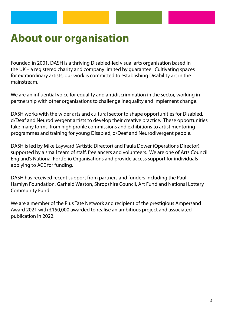### **About our organisation**

Founded in 2001, DASH is a thriving Disabled-led visual arts organisation based in the UK – a registered charity and company limited by guarantee. Cultivating spaces for extraordinary artists, our work is committed to establishing Disability art in the mainstream.

We are an influential voice for equality and antidiscrimination in the sector, working in partnership with other organisations to challenge inequality and implement change.

DASH works with the wider arts and cultural sector to shape opportunities for Disabled, d/Deaf and Neurodivergent artists to develop their creative practice. These opportunities take many forms, from high profile commissions and exhibitions to artist mentoring programmes and training for young Disabled, d/Deaf and Neurodivergent people.

DASH is led by Mike Layward (Artistic Director) and Paula Dower (Operations Director), supported by a small team of staff, freelancers and volunteers. We are one of Arts Council England's National Portfolio Organisations and provide access support for individuals applying to ACE for funding.

DASH has received recent support from partners and funders including the Paul Hamlyn Foundation, Garfield Weston, Shropshire Council, Art Fund and National Lottery Community Fund.

We are a member of the Plus Tate Network and recipient of the prestigious Ampersand Award 2021 with £150,000 awarded to realise an ambitious project and associated publication in 2022.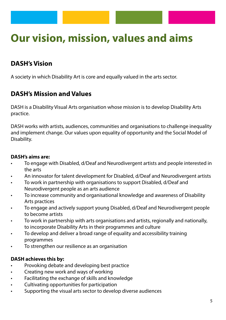## **Our vision, mission, values and aims**

### **DASH's Vision**

A society in which Disability Art is core and equally valued in the arts sector.

#### **DASH's Mission and Values**

DASH is a Disability Visual Arts organisation whose mission is to develop Disability Arts practice.

DASH works with artists, audiences, communities and organisations to challenge inequality and implement change. Our values upon equality of opportunity and the Social Model of Disability.

#### **DASH's aims are:**

- To engage with Disabled, d/Deaf and Neurodivergent artists and people interested in the arts
- An innovator for talent development for Disabled, d/Deaf and Neurodivergent artists
- To work in partnership with organisations to support Disabled, d/Deaf and Neurodivergent people as an arts audience
- To increase community and organisational knowledge and awareness of Disability Arts practices
- To engage and actively support young Disabled, d/Deaf and Neurodivergent people to become artists
- To work in partnership with arts organisations and artists, regionally and nationally, to incorporate Disability Arts in their programmes and culture
- To develop and deliver a broad range of equality and accessibility training programmes
- To strengthen our resilience as an organisation

#### **DASH achieves this by:**

- Provoking debate and developing best practice
- Creating new work and ways of working
- Facilitating the exchange of skills and knowledge
- Cultivating opportunities for participation
- Supporting the visual arts sector to develop diverse audiences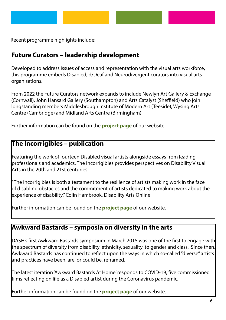

Recent programme highlights include:

### **Future Curators – leadership development**

Developed to address issues of access and representation with the visual arts workforce, this programme embeds Disabled, d/Deaf and Neurodivergent curators into visual arts organisations.

From 2022 the Future Curators network expands to include Newlyn Art Gallery & Exchange (Cornwall), John Hansard Gallery (Southampton) and Arts Catalyst (Sheffield) who join longstanding members Middlesbrough Institute of Modern Art (Teeside), Wysing Arts Centre (Cambridge) and Midland Arts Centre (Birmingham).

Further information can be found on the **[project page](https://www.dasharts.org/blog/future-curators-network-new-partners.html)** of our website.

### **The Incorrigibles – publication**

Featuring the work of fourteen Disabled visual artists alongside essays from leading professionals and academics, The Incorrigibles provides perspectives on Disability Visual Arts in the 20th and 21st centuries.

"The Incorrigibles is both a testament to the resilience of artists making work in the face of disabling obstacles and the commitment of artists dedicated to making work about the experience of disability." Colin Hambrook, Disability Arts Online

Further information can be found on the **[project page](https://www.dasharts.org/projects/the-incorrigibles-perspectives-on-disability-visual-arts-in-the-20th-and-21st-centuries.html)** of our website.

#### **Awkward Bastards – symposia on diversity in the arts**

DASH's first Awkward Bastards symposium in March 2015 was one of the first to engage with the spectrum of diversity from disability, ethnicity, sexuality, to gender and class. Since then, Awkward Bastards has continued to reflect upon the ways in which so-called "diverse" artists and practices have been, are, or could be, reframed.

The latest iteration 'Awkward Bastards At Home' responds to COVID-19, five commissioned films reflecting on life as a Disabled artist during the Coronavirus pandemic.

Further information can be found on the **[project page](https://www.dasharts.org/projects/awkward-bastards-at-home.html)** of our website[.](https://www.dasharts.org/projects/awkward-bastards-at-home.html)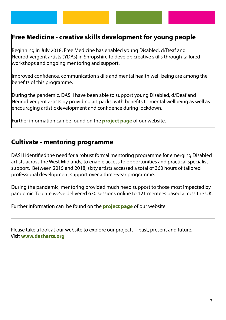#### **Free Medicine - creative skills development for young people**

Beginning in July 2018, Free Medicine has enabled young Disabled, d/Deaf and Neurodivergent artists (YDAs) in Shropshire to develop creative skills through tailored workshops and ongoing mentoring and support.

Improved confidence, communication skills and mental health well-being are among the benefits of this programme.

During the pandemic, DASH have been able to support young Disabled, d/Deaf and Neurodivergent artists by providing art packs, with benefits to mental wellbeing as well as encouraging artistic development and confidence during lockdown.

Further information can be found on the **[project page](https://www.dasharts.org/projects/free-medicine.html)** of our website.

#### **Cultivate - mentoring programme**

DASH identified the need for a robust formal mentoring programme for emerging Disabled artists across the West Midlands, to enable access to opportunities and practical specialist support. Between 2015 and 2018, sixty artists accessed a total of 360 hours of tailored professional development support over a three-year programme.

During the pandemic, mentoring provided much need support to those most impacted by pandemic. To date we've delivered 630 sessions online to 121 mentees based across the UK.

Further information can be found on the **[project page](https://www.dasharts.org/projects/cultivate.html)** of our website.

Please take a look at our website to explore our projects – past, present and future. Visit **[www.dasharts.org](http://www.dasharts.org)**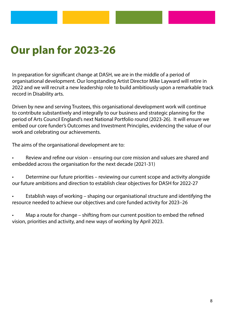## **Our plan for 2023-26**

In preparation for significant change at DASH, we are in the middle of a period of organisational development. Our longstanding Artist Director Mike Layward will retire in 2022 and we will recruit a new leadership role to build ambitiously upon a remarkable track record in Disability arts.

Driven by new and serving Trustees, this organisational development work will continue to contribute substantively and integrally to our business and strategic planning for the period of Arts Council England's next National Portfolio round (2023-26). It will ensure we embed our core funder's Outcomes and Investment Principles, evidencing the value of our work and celebrating our achievements.

The aims of the organisational development are to:

- Review and refine our vision ensuring our core mission and values are shared and embedded across the organisation for the next decade (2021-31)
- Determine our future priorities reviewing our current scope and activity alongside our future ambitions and direction to establish clear objectives for DASH for 2022-27
- Establish ways of working shaping our organisational structure and identifying the resource needed to achieve our objectives and core funded activity for 2023–26
- Map a route for change shifting from our current position to embed the refined vision, priorities and activity, and new ways of working by April 2023.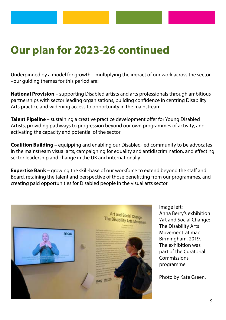### **Our plan for 2023-26 continued**

Underpinned by a model for growth – multiplying the impact of our work across the sector –our guiding themes for this period are:

**National Provision** – supporting Disabled artists and arts professionals through ambitious partnerships with sector leading organisations, building confidence in centring Disability Arts practice and widening access to opportunity in the mainstream

**Talent Pipeline** – sustaining a creative practice development offer for Young Disabled Artists, providing pathways to progression beyond our own programmes of activity, and activating the capacity and potential of the sector

**Coalition Building –** equipping and enabling our Disabled-led community to be advocates in the mainstream visual arts, campaigning for equality and antidiscrimination, and effecting sector leadership and change in the UK and internationally

**Expertise Bank** – growing the skill-base of our workforce to extend beyond the staff and Board, retaining the talent and perspective of those benefitting from our programmes, and creating paid opportunities for Disabled people in the visual arts sector



Image left: Anna Berry's exhibition 'Art and Social Change: The Disability Arts Movement' at mac Birmingham, 2019. The exhibition was part of the Curatorial **Commissions** programme.

Photo by Kate Green.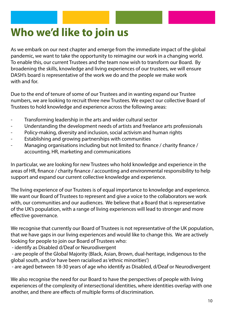# **Who we'd like to join us**

As we embark on our next chapter and emerge from the immediate impact of the global pandemic, we want to take the opportunity to reimagine our work in a changing world. To enable this, our current Trustees and the team now wish to transform our Board. By broadening the skills, knowledge and living experiences of our trustees, we will ensure DASH's board is representative of the work we do and the people we make work with and for.

Due to the end of tenure of some of our Trustees and in wanting expand our Trustee numbers, we are looking to recruit three new Trustees. We expect our collective Board of Trustees to hold knowledge and experience across the following areas:

- Transforming leadership in the arts and wider cultural sector
- Understanding the development needs of artists and freelance arts professionals
- Policy-making, diversity and inclusion, social activism and human rights
- Establishing and growing partnerships with communities
- Managing organisations including but not limited to: finance / charity finance / accounting, HR, marketing and communications

In particular, we are looking for new Trustees who hold knowledge and experience in the areas of HR, finance / charity finance / accounting and environmental responsibility to help support and expand our current collective knowledge and experience.

The living experience of our Trustees is of equal importance to knowledge and experience. We want our Board of Trustees to represent and give a voice to the collaborators we work with, our communities and our audiences. We believe that a Board that is representative of the UK's population, with a range of living experiences will lead to stronger and more effective governance.

We recognise that currently our Board of Trustees is not representative of the UK population, that we have gaps in our living experiences and would like to change this. We are actively looking for people to join our Board of Trustees who:

- identify as Disabled d/Deaf or Neurodivergent

 - are people of the Global Majority (Black, Asian, Brown, dual-heritage, indigenous to the global south, and/or have been racialised as 'ethnic minorities')

- are aged between 18-30 years of age who identify as Disabled, d/Deaf or Neurodivergent

We also recognise the need for our Board to have the perspectives of people with living experiences of the complexity of intersectional identities, where identities overlap with one another, and there are effects of multiple forms of discrimination.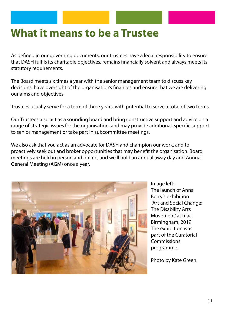### **What it means to be a Trustee**

As defined in our governing documents, our trustees have a legal responsibility to ensure that DASH fulfils its charitable objectives, remains financially solvent and always meets its statutory requirements.

The Board meets six times a year with the senior management team to discuss key decisions, have oversight of the organisation's finances and ensure that we are delivering our aims and objectives.

Trustees usually serve for a term of three years, with potential to serve a total of two terms.

Our Trustees also act as a sounding board and bring constructive support and advice on a range of strategic issues for the organisation, and may provide additional, specific support to senior management or take part in subcommittee meetings.

We also ask that you act as an advocate for DASH and champion our work, and to proactively seek out and broker opportunities that may benefit the organisation. Board meetings are held in person and online, and we'll hold an annual away day and Annual General Meeting (AGM) once a year.



Image left: The launch of Anna Berry's exhibition 'Art and Social Change: The Disability Arts Movement' at mac Birmingham, 2019. The exhibition was part of the Curatorial **Commissions** programme.

Photo by Kate Green.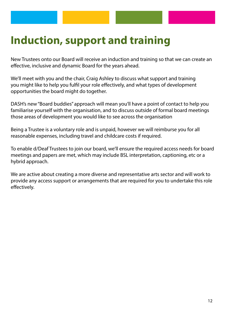## **Induction, support and training**

New Trustees onto our Board will receive an induction and training so that we can create an effective, inclusive and dynamic Board for the years ahead.

We'll meet with you and the chair, Craig Ashley to discuss what support and training you might like to help you fulfil your role effectively, and what types of development opportunities the board might do together.

DASH's new "Board buddies" approach will mean you'll have a point of contact to help you familiarise yourself with the organisation, and to discuss outside of formal board meetings those areas of development you would like to see across the organisation

Being a Trustee is a voluntary role and is unpaid, however we will reimburse you for all reasonable expenses, including travel and childcare costs if required.

To enable d/Deaf Trustees to join our board, we'll ensure the required access needs for board meetings and papers are met, which may include BSL interpretation, captioning, etc or a hybrid approach.

We are active about creating a more diverse and representative arts sector and will work to provide any access support or arrangements that are required for you to undertake this role effectively.